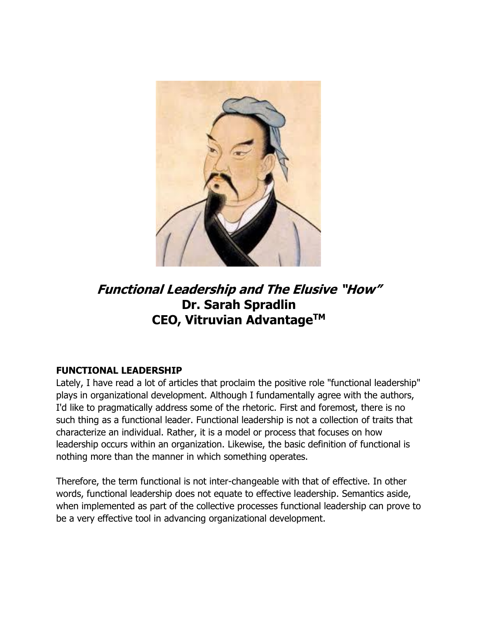

# **Functional Leadership and The Elusive "How" Dr. Sarah Spradlin CEO, Vitruvian AdvantageTM**

# **FUNCTIONAL LEADERSHIP**

Lately, I have read a lot of articles that proclaim the positive role "functional leadership" plays in organizational development. Although I fundamentally agree with the authors, I'd like to pragmatically address some of the rhetoric. First and foremost, there is no such thing as a functional leader. Functional leadership is not a collection of traits that characterize an individual. Rather, it is a model or process that focuses on how leadership occurs within an organization. Likewise, the basic definition of functional is nothing more than the manner in which something operates.

Therefore, the term functional is not inter-changeable with that of effective. In other words, functional leadership does not equate to effective leadership. Semantics aside, when implemented as part of the collective processes functional leadership can prove to be a very effective tool in advancing organizational development.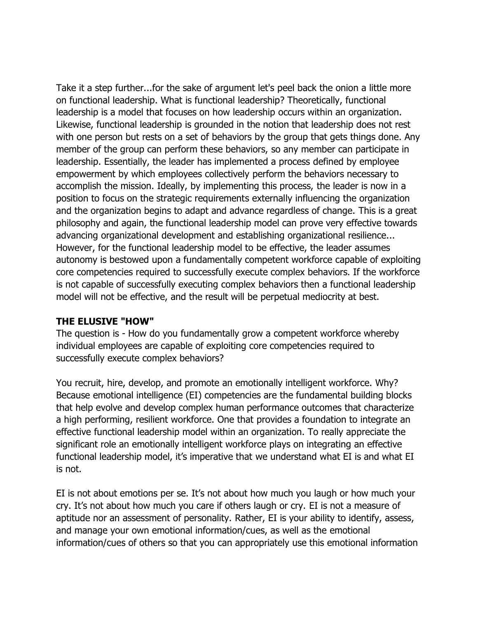Take it a step further...for the sake of argument let's peel back the onion a little more on functional leadership. What is functional leadership? Theoretically, functional leadership is a model that focuses on how leadership occurs within an organization. Likewise, functional leadership is grounded in the notion that leadership does not rest with one person but rests on a set of behaviors by the group that gets things done. Any member of the group can perform these behaviors, so any member can participate in leadership. Essentially, the leader has implemented a process defined by employee empowerment by which employees collectively perform the behaviors necessary to accomplish the mission. Ideally, by implementing this process, the leader is now in a position to focus on the strategic requirements externally influencing the organization and the organization begins to adapt and advance regardless of change. This is a great philosophy and again, the functional leadership model can prove very effective towards advancing organizational development and establishing organizational resilience... However, for the functional leadership model to be effective, the leader assumes autonomy is bestowed upon a fundamentally competent workforce capable of exploiting core competencies required to successfully execute complex behaviors. If the workforce is not capable of successfully executing complex behaviors then a functional leadership model will not be effective, and the result will be perpetual mediocrity at best.

### **THE ELUSIVE "HOW"**

The question is - How do you fundamentally grow a competent workforce whereby individual employees are capable of exploiting core competencies required to successfully execute complex behaviors?

You recruit, hire, develop, and promote an emotionally intelligent workforce. Why? Because emotional intelligence (EI) competencies are the fundamental building blocks that help evolve and develop complex human performance outcomes that characterize a high performing, resilient workforce. One that provides a foundation to integrate an effective functional leadership model within an organization. To really appreciate the significant role an emotionally intelligent workforce plays on integrating an effective functional leadership model, it's imperative that we understand what EI is and what EI is not.

EI is not about emotions per se. It's not about how much you laugh or how much your cry. It's not about how much you care if others laugh or cry. EI is not a measure of aptitude nor an assessment of personality. Rather, EI is your ability to identify, assess, and manage your own emotional information/cues, as well as the emotional information/cues of others so that you can appropriately use this emotional information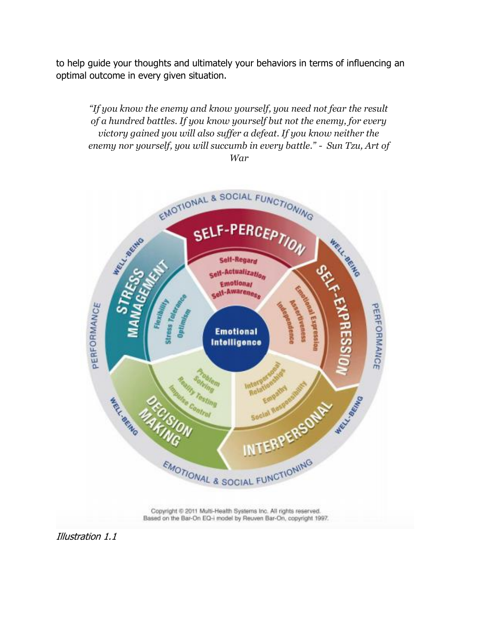to help guide your thoughts and ultimately your behaviors in terms of influencing an optimal outcome in every given situation.

*"If you know the enemy and know yourself, you need not fear the result of a hundred battles. If you know yourself but not the enemy, for every victory gained you will also suffer a defeat. If you know neither the enemy nor yourself, you will succumb in every battle." - Sun Tzu, Art of War*